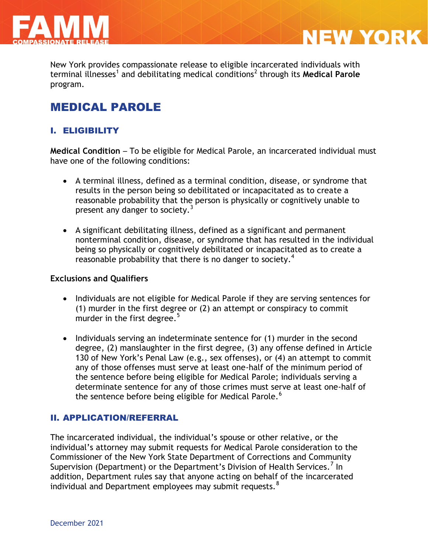

New York provides compassionate release to eligible incarcerated individuals with terminal illnesses<sup>1</sup> and debilitating medical conditions<sup>2</sup> through its Medical Parole program.

**NEW YORK** 

# MEDICAL PAROLE

## I. ELIGIBILITY

**Medical Condition** – To be eligible for Medical Parole, an incarcerated individual must have one of the following conditions:

- A terminal illness, defined as a terminal condition, disease, or syndrome that results in the person being so debilitated or incapacitated as to create a reasonable probability that the person is physically or cognitively unable to present any danger to society.<sup>3</sup>
- A significant debilitating illness, defined as a significant and permanent nonterminal condition, disease, or syndrome that has resulted in the individual being so physically or cognitively debilitated or incapacitated as to create a reasonable probability that there is no danger to society.<sup>4</sup>

#### **Exclusions and Qualifiers**

- Individuals are not eligible for Medical Parole if they are serving sentences for (1) murder in the first degree or (2) an attempt or conspiracy to commit murder in the first degree. $5$
- Individuals serving an indeterminate sentence for (1) murder in the second degree, (2) manslaughter in the first degree, (3) any offense defined in Article 130 of New York's Penal Law (e.g., sex offenses), or (4) an attempt to commit any of those offenses must serve at least one-half of the minimum period of the sentence before being eligible for Medical Parole; individuals serving a determinate sentence for any of those crimes must serve at least one-half of the sentence before being eligible for Medical Parole.<sup>6</sup>

### II. APPLICATION/REFERRAL

The incarcerated individual, the individual's spouse or other relative, or the individual's attorney may submit requests for Medical Parole consideration to the Commissioner of the New York State Department of Corrections and Community Supervision (Department) or the Department's Division of Health Services.<sup>7</sup> In addition, Department rules say that anyone acting on behalf of the incarcerated individual and Department employees may submit requests. $8<sup>8</sup>$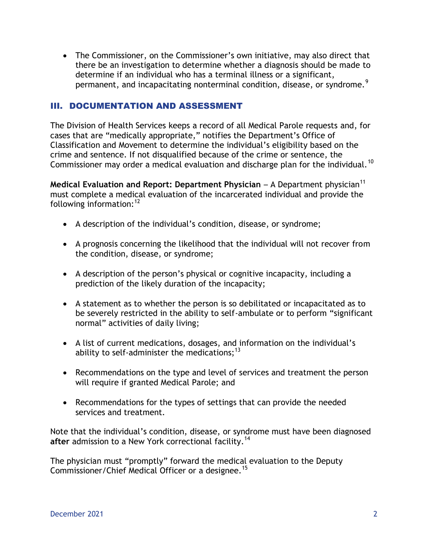The Commissioner, on the Commissioner's own initiative, may also direct that there be an investigation to determine whether a diagnosis should be made to determine if an individual who has a terminal illness or a significant, permanent, and incapacitating nonterminal condition, disease, or syndrome.<sup>9</sup>

### III. DOCUMENTATION AND ASSESSMENT

The Division of Health Services keeps a record of all Medical Parole requests and, for cases that are "medically appropriate," notifies the Department's Office of Classification and Movement to determine the individual's eligibility based on the crime and sentence. If not disqualified because of the crime or sentence, the Commissioner may order a medical evaluation and discharge plan for the individual.<sup>10</sup>

**Medical Evaluation and Report: Department Physician – A Department physician<sup>11</sup>** must complete a medical evaluation of the incarcerated individual and provide the following information: $12$ 

- A description of the individual's condition, disease, or syndrome;
- A prognosis concerning the likelihood that the individual will not recover from the condition, disease, or syndrome;
- A description of the person's physical or cognitive incapacity, including a prediction of the likely duration of the incapacity;
- A statement as to whether the person is so debilitated or incapacitated as to be severely restricted in the ability to self-ambulate or to perform "significant normal" activities of daily living;
- A list of current medications, dosages, and information on the individual's ability to self-administer the medications; $^{13}$
- Recommendations on the type and level of services and treatment the person will require if granted Medical Parole; and
- Recommendations for the types of settings that can provide the needed services and treatment.

Note that the individual's condition, disease, or syndrome must have been diagnosed after admission to a New York correctional facility.<sup>14</sup>

The physician must "promptly" forward the medical evaluation to the Deputy Commissioner/Chief Medical Officer or a designee.<sup>15</sup>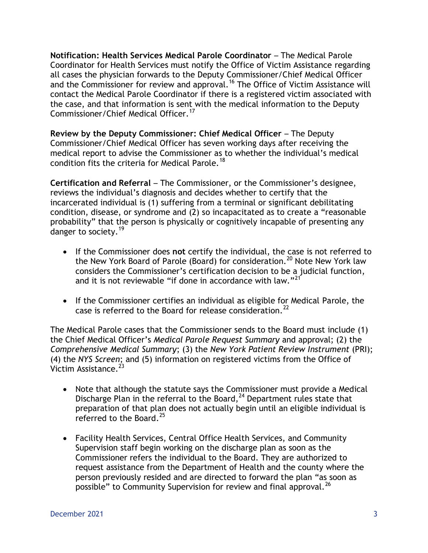**Notification: Health Services Medical Parole Coordinator** – The Medical Parole Coordinator for Health Services must notify the Office of Victim Assistance regarding all cases the physician forwards to the Deputy Commissioner/Chief Medical Officer and the Commissioner for review and approval.<sup>16</sup> The Office of Victim Assistance will contact the Medical Parole Coordinator if there is a registered victim associated with the case, and that information is sent with the medical information to the Deputy Commissioner/Chief Medical Officer.<sup>17</sup>

**Review by the Deputy Commissioner: Chief Medical Officer** – The Deputy Commissioner/Chief Medical Officer has seven working days after receiving the medical report to advise the Commissioner as to whether the individual's medical condition fits the criteria for Medical Parole.<sup>18</sup>

**Certification and Referral** – The Commissioner, or the Commissioner's designee, reviews the individual's diagnosis and decides whether to certify that the incarcerated individual is (1) suffering from a terminal or significant debilitating condition, disease, or syndrome and (2) so incapacitated as to create a "reasonable probability" that the person is physically or cognitively incapable of presenting any .<br>danger to society.<sup>19</sup>

- If the Commissioner does **not** certify the individual, the case is not referred to the New York Board of Parole (Board) for consideration.<sup>20</sup> Note New York law considers the Commissioner's certification decision to be a judicial function, and it is not reviewable "if done in accordance with law."<sup>21</sup>
- If the Commissioner certifies an individual as eligible for Medical Parole, the case is referred to the Board for release consideration.<sup>22</sup>

The Medical Parole cases that the Commissioner sends to the Board must include (1) the Chief Medical Officer's *Medical Parole Request Summary* and approval; (2) the *Comprehensive Medical Summary*; (3) the *New York Patient Review Instrument* (PRI); (4) the *NYS Screen*; and (5) information on registered victims from the Office of Victim Assistance.<sup>23</sup>

- Note that although the statute says the Commissioner must provide a Medical Discharge Plan in the referral to the Board,  $24$  Department rules state that preparation of that plan does not actually begin until an eligible individual is referred to the Board.<sup>25</sup>
- Facility Health Services, Central Office Health Services, and Community Supervision staff begin working on the discharge plan as soon as the Commissioner refers the individual to the Board. They are authorized to request assistance from the Department of Health and the county where the person previously resided and are directed to forward the plan "as soon as possible" to Community Supervision for review and final approval.<sup>26</sup>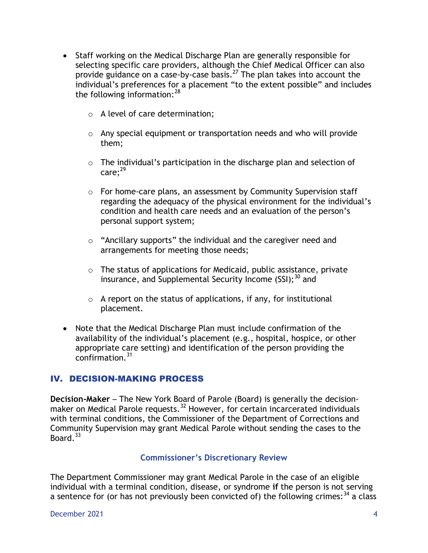- Staff working on the Medical Discharge Plan are generally responsible for selecting specific care providers, although the Chief Medical Officer can also provide guidance on a case-by-case basis.<sup>27</sup> The plan takes into account the individual's preferences for a placement "to the extent possible" and includes the following information:  $28$ 
	- o A level of care determination;
	- o Any special equipment or transportation needs and who will provide them;
	- o The individual's participation in the discharge plan and selection of  $care:<sup>29</sup>$
	- o For home-care plans, an assessment by Community Supervision staff regarding the adequacy of the physical environment for the individual's condition and health care needs and an evaluation of the person's personal support system;
	- o "Ancillary supports" the individual and the caregiver need and arrangements for meeting those needs;
	- o The status of applications for Medicaid, public assistance, private insurance, and Supplemental Security Income  $(SSI)$ ;<sup>30</sup> and
	- $\circ$  A report on the status of applications, if any, for institutional placement.
- Note that the Medical Discharge Plan must include confirmation of the availability of the individual's placement (e.g., hospital, hospice, or other appropriate care setting) and identification of the person providing the confirmation.<sup>31</sup>

### IV. DECISION-MAKING PROCESS

**Decision-Maker** – The New York Board of Parole (Board) is generally the decisionmaker on Medical Parole requests.<sup>32</sup> However, for certain incarcerated individuals with terminal conditions, the Commissioner of the Department of Corrections and Community Supervision may grant Medical Parole without sending the cases to the Board. $33$ 

#### **Commissioner's Discretionary Review**

The Department Commissioner may grant Medical Parole in the case of an eligible individual with a terminal condition, disease, or syndrome **if** the person is not serving a sentence for (or has not previously been convicted of) the following crimes:  $34$  a class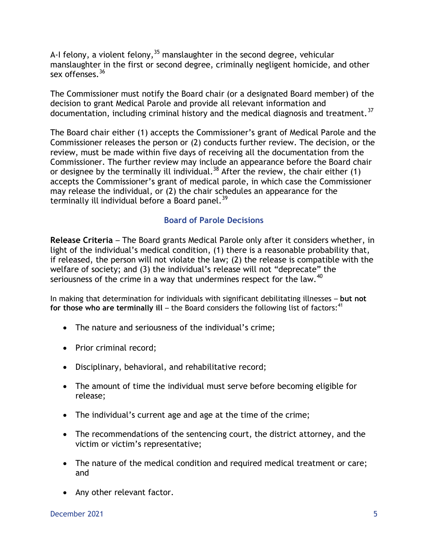A-I felony, a violent felony,  $35$  manslaughter in the second degree, vehicular manslaughter in the first or second degree, criminally negligent homicide, and other sex offenses.<sup>36</sup>

The Commissioner must notify the Board chair (or a designated Board member) of the decision to grant Medical Parole and provide all relevant information and documentation, including criminal history and the medical diagnosis and treatment.<sup>37</sup>

The Board chair either (1) accepts the Commissioner's grant of Medical Parole and the Commissioner releases the person or (2) conducts further review. The decision, or the review, must be made within five days of receiving all the documentation from the Commissioner. The further review may include an appearance before the Board chair or designee by the terminally ill individual.<sup>38</sup> After the review, the chair either (1) accepts the Commissioner's grant of medical parole, in which case the Commissioner may release the individual, or (2) the chair schedules an appearance for the terminally ill individual before a Board panel.<sup>39</sup>

#### **Board of Parole Decisions**

**Release Criteria** – The Board grants Medical Parole only after it considers whether, in light of the individual's medical condition, (1) there is a reasonable probability that, if released, the person will not violate the law; (2) the release is compatible with the welfare of society; and (3) the individual's release will not "deprecate" the seriousness of the crime in a way that undermines respect for the law.<sup>40</sup>

In making that determination for individuals with significant debilitating illnesses – **but not**  for those who are terminally ill – the Board considers the following list of factors:<sup>41</sup>

- The nature and seriousness of the individual's crime;
- Prior criminal record;
- Disciplinary, behavioral, and rehabilitative record;
- The amount of time the individual must serve before becoming eligible for release;
- The individual's current age and age at the time of the crime;
- The recommendations of the sentencing court, the district attorney, and the victim or victim's representative;
- The nature of the medical condition and required medical treatment or care; and
- Any other relevant factor.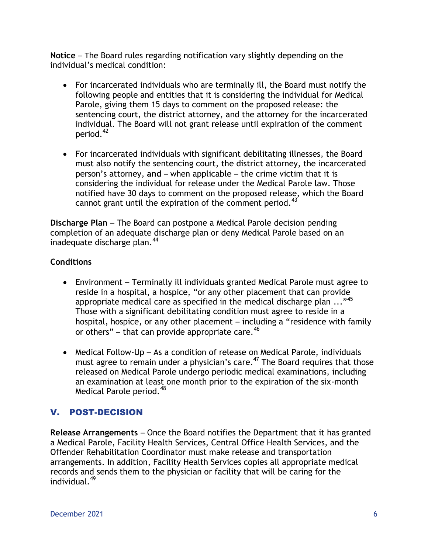**Notice** – The Board rules regarding notification vary slightly depending on the individual's medical condition:

- For incarcerated individuals who are terminally ill, the Board must notify the following people and entities that it is considering the individual for Medical Parole, giving them 15 days to comment on the proposed release: the sentencing court, the district attorney, and the attorney for the incarcerated individual. The Board will not grant release until expiration of the comment period.<sup>42</sup>
- For incarcerated individuals with significant debilitating illnesses, the Board must also notify the sentencing court, the district attorney, the incarcerated person's attorney, **and** – when applicable – the crime victim that it is considering the individual for release under the Medical Parole law. Those notified have 30 days to comment on the proposed release, which the Board cannot grant until the expiration of the comment period.<sup>43</sup>

**Discharge Plan** – The Board can postpone a Medical Parole decision pending completion of an adequate discharge plan or deny Medical Parole based on an inadequate discharge plan.<sup>44</sup>

## **Conditions**

- Environment Terminally ill individuals granted Medical Parole must agree to reside in a hospital, a hospice, "or any other placement that can provide appropriate medical care as specified in the medical discharge plan  $\ldots$ <sup>45</sup> Those with a significant debilitating condition must agree to reside in a hospital, hospice, or any other placement – including a "residence with family or others" – that can provide appropriate care. $46$
- Medical Follow-Up As a condition of release on Medical Parole, individuals must agree to remain under a physician's care.<sup>47</sup> The Board requires that those released on Medical Parole undergo periodic medical examinations, including an examination at least one month prior to the expiration of the six-month Medical Parole period.<sup>48</sup>

## V. POST-DECISION

**Release Arrangements** – Once the Board notifies the Department that it has granted a Medical Parole, Facility Health Services, Central Office Health Services, and the Offender Rehabilitation Coordinator must make release and transportation arrangements. In addition, Facility Health Services copies all appropriate medical records and sends them to the physician or facility that will be caring for the individual.<sup>49</sup>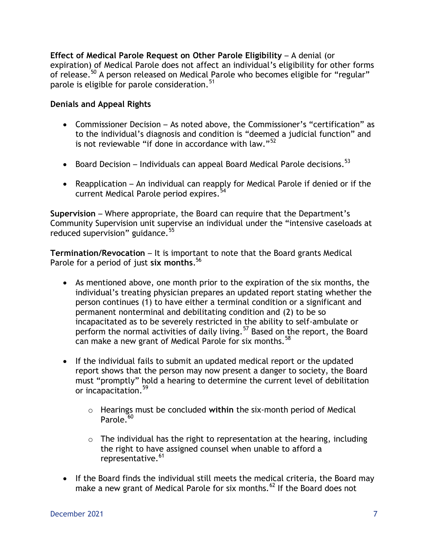**Effect of Medical Parole Request on Other Parole Eligibility – A denial (or** expiration) of Medical Parole does not affect an individual's eligibility for other forms of release.<sup>50</sup> A person released on Medical Parole who becomes eligible for "regular" parole is eligible for parole consideration.  $51$ 

#### **Denials and Appeal Rights**

- Commissioner Decision As noted above, the Commissioner's "certification" as to the individual's diagnosis and condition is "deemed a judicial function" and is not reviewable "if done in accordance with law."<sup>52</sup>
- **•** Board Decision Individuals can appeal Board Medical Parole decisions.<sup>53</sup>
- Reapplication An individual can reapply for Medical Parole if denied or if the current Medical Parole period expires.<sup>54</sup>

**Supervision** – Where appropriate, the Board can require that the Department's Community Supervision unit supervise an individual under the "intensive caseloads at reduced supervision" guidance.<sup>55</sup>

**Termination/Revocation** – It is important to note that the Board grants Medical Parole for a period of just **six months**. 56

- As mentioned above, one month prior to the expiration of the six months, the individual's treating physician prepares an updated report stating whether the person continues (1) to have either a terminal condition or a significant and permanent nonterminal and debilitating condition and (2) to be so incapacitated as to be severely restricted in the ability to self-ambulate or perform the normal activities of daily living.<sup>57</sup> Based on the report, the Board can make a new grant of Medical Parole for six months.  $58$
- If the individual fails to submit an updated medical report or the updated report shows that the person may now present a danger to society, the Board must "promptly" hold a hearing to determine the current level of debilitation or incapacitation.<sup>59</sup>
	- o Hearings must be concluded **within** the six-month period of Medical Parole. $60$
	- $\circ$  The individual has the right to representation at the hearing, including the right to have assigned counsel when unable to afford a representative.<sup>61</sup>
- If the Board finds the individual still meets the medical criteria, the Board may make a new grant of Medical Parole for six months.  $^{62}$  If the Board does not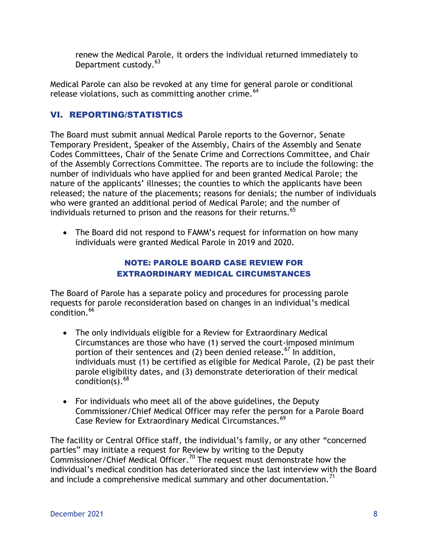renew the Medical Parole, it orders the individual returned immediately to Department custody.<sup>63</sup>

Medical Parole can also be revoked at any time for general parole or conditional release violations, such as committing another crime.<sup>64</sup>

## VI. REPORTING/STATISTICS

The Board must submit annual Medical Parole reports to the Governor, Senate Temporary President, Speaker of the Assembly, Chairs of the Assembly and Senate Codes Committees, Chair of the Senate Crime and Corrections Committee, and Chair of the Assembly Corrections Committee. The reports are to include the following: the number of individuals who have applied for and been granted Medical Parole; the nature of the applicants' illnesses; the counties to which the applicants have been released; the nature of the placements; reasons for denials; the number of individuals who were granted an additional period of Medical Parole; and the number of individuals returned to prison and the reasons for their returns. 65

 The Board did not respond to FAMM's request for information on how many individuals were granted Medical Parole in 2019 and 2020.

### NOTE: PAROLE BOARD CASE REVIEW FOR EXTRAORDINARY MEDICAL CIRCUMSTANCES

The Board of Parole has a separate policy and procedures for processing parole requests for parole reconsideration based on changes in an individual's medical  $\text{condition}$ <sup>66</sup>

- The only individuals eligible for a Review for Extraordinary Medical Circumstances are those who have (1) served the court-imposed minimum portion of their sentences and (2) been denied release.<sup>67</sup> In addition, individuals must (1) be certified as eligible for Medical Parole, (2) be past their parole eligibility dates, and (3) demonstrate deterioration of their medical condition(s).  $68$
- For individuals who meet all of the above guidelines, the Deputy Commissioner/Chief Medical Officer may refer the person for a Parole Board Case Review for Extraordinary Medical Circumstances.<sup>69</sup>

The facility or Central Office staff, the individual's family, or any other "concerned parties" may initiate a request for Review by writing to the Deputy Commissioner/Chief Medical Officer.<sup>70</sup> The request must demonstrate how the individual's medical condition has deteriorated since the last interview with the Board and include a comprehensive medical summary and other documentation.<sup>71</sup>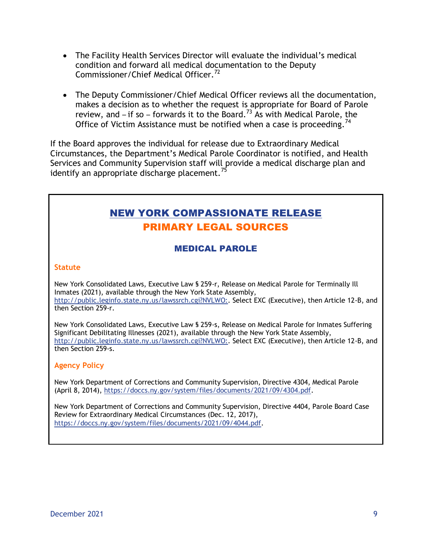- The Facility Health Services Director will evaluate the individual's medical condition and forward all medical documentation to the Deputy Commissioner/Chief Medical Officer.<sup>72</sup>
- The Deputy Commissioner/Chief Medical Officer reviews all the documentation, makes a decision as to whether the request is appropriate for Board of Parole review, and – if so – forwards it to the Board.<sup>73</sup> As with Medical Parole, the Office of Victim Assistance must be notified when a case is proceeding.<sup>74</sup>

If the Board approves the individual for release due to Extraordinary Medical Circumstances, the Department's Medical Parole Coordinator is notified, and Health Services and Community Supervision staff will provide a medical discharge plan and identify an appropriate discharge placement.<sup>75</sup>

# NEW YORK COMPASSIONATE RELEASE PRIMARY LEGAL SOURCES

## MEDICAL PAROLE

#### **Statute**

New York Consolidated Laws, Executive Law § 259-r, Release on Medical Parole for Terminally Ill Inmates (2021), available through the New York State Assembly, http://public.leginfo.state.ny.us/lawssrch.cgi?NVLWO:. Select EXC (Executive), then Article 12-B, and then Section 259-r.

New York Consolidated Laws, Executive Law § 259-s, Release on Medical Parole for Inmates Suffering Significant Debilitating Illnesses (2021), available through the New York State Assembly, http://public.leginfo.state.ny.us/lawssrch.cgi?NVLWO:. Select EXC (Executive), then Article 12-B, and then Section 259-s.

#### **Agency Policy**

New York Department of Corrections and Community Supervision, Directive 4304, Medical Parole (April 8, 2014), [https://doccs.ny.gov/system/files/documents/2021/09/4304.pdf.](https://doccs.ny.gov/system/files/documents/2021/09/4304.pdf)

New York Department of Corrections and Community Supervision, Directive 4404, Parole Board Case Review for Extraordinary Medical Circumstances (Dec. 12, 2017), https://doccs.ny.gov/system/files/documents/2021/09/4044.pdf.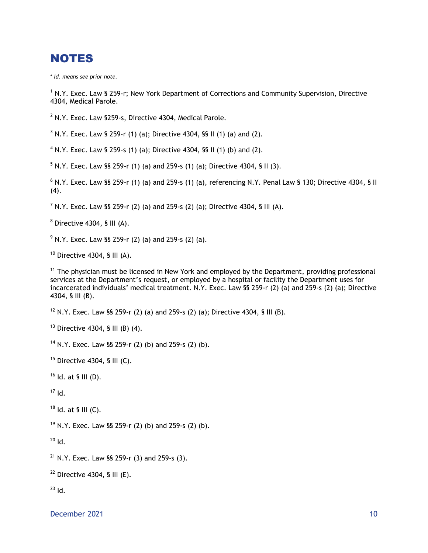## **NOTES**

\* *Id. means see prior note.*

<sup>1</sup> N.Y. Exec. Law § 259-r; New York Department of Corrections and Community Supervision, Directive 4304, Medical Parole.

 $2$  N.Y. Exec. Law §259-s, Directive 4304, Medical Parole.

 $3$  N.Y. Exec. Law § 259-r (1) (a); Directive 4304, §§ II (1) (a) and (2).

<sup>4</sup> N.Y. Exec. Law § 259-s (1) (a); Directive 4304, §§ II (1) (b) and (2).

 $5$  N.Y. Exec. Law §§ 259-r (1) (a) and 259-s (1) (a); Directive 4304, § II (3).

 $6$  N.Y. Exec. Law §§ 259-r (1) (a) and 259-s (1) (a), referencing N.Y. Penal Law § 130; Directive 4304, § II (4).

<sup>7</sup> N.Y. Exec. Law §§ 259-r (2) (a) and 259-s (2) (a); Directive 4304, § III (A).

 $8$  Directive 4304, § III (A).

 $9$  N.Y. Exec. Law §§ 259-r (2) (a) and 259-s (2) (a).

 $10$  Directive 4304, § III (A).

 $11$  The physician must be licensed in New York and employed by the Department, providing professional services at the Department's request, or employed by a hospital or facility the Department uses for incarcerated individuals' medical treatment. N.Y. Exec. Law §§ 259-r (2) (a) and 259-s (2) (a); Directive 4304, § III (B).

<sup>12</sup> N.Y. Exec. Law §§ 259-r (2) (a) and 259-s (2) (a); Directive 4304, § III (B).

 $13$  Directive 4304, § III (B) (4).

<sup>14</sup> N.Y. Exec. Law §§ 259-r (2) (b) and 259-s (2) (b).

 $15$  Directive 4304, § III (C).

 $16$  Id. at § III (D).

 $17$  Id.

 $18$  Id. at § III (C).

<sup>19</sup> N.Y. Exec. Law §§ 259-r (2) (b) and 259-s (2) (b).

 $^{20}$  Id.

 $21$  N.Y. Exec. Law §§ 259-r (3) and 259-s (3).

 $22$  Directive 4304, § III (E).

 $23$  Id.

December 2021 and the contract of the contract of the contract of the contract of the contract of the contract of the contract of the contract of the contract of the contract of the contract of the contract of the contract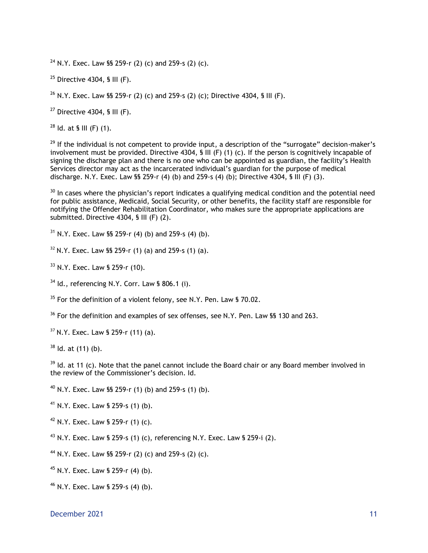<sup>24</sup> N.Y. Exec. Law §§ 259-r (2) (c) and 259-s (2) (c).

 $25$  Directive 4304, § III (F).

<sup>26</sup> N.Y. Exec. Law §§ 259-r (2) (c) and 259-s (2) (c); Directive 4304, § III (F).

 $27$  Directive 4304, § III (F).

 $28$  ld. at § III (F) (1).

 $29$  If the individual is not competent to provide input, a description of the "surrogate" decision-maker's involvement must be provided. Directive 4304,  $\hat{\bf s}$  III (F) (1) (c). If the person is cognitively incapable of signing the discharge plan and there is no one who can be appointed as guardian, the facility's Health Services director may act as the incarcerated individual's guardian for the purpose of medical discharge. N.Y. Exec. Law §§ 259-r (4) (b) and 259-s (4) (b); Directive 4304, § III (F) (3).

 $30$  In cases where the physician's report indicates a qualifying medical condition and the potential need for public assistance, Medicaid, Social Security, or other benefits, the facility staff are responsible for notifying the Offender Rehabilitation Coordinator, who makes sure the appropriate applications are submitted. Directive 4304, § III (F) (2).

 $31$  N.Y. Exec. Law §§ 259-r (4) (b) and 259-s (4) (b).

 $32$  N.Y. Exec. Law §§ 259-r (1) (a) and 259-s (1) (a).

<sup>33</sup> N.Y. Exec. Law § 259-r (10).

 $34$  Id., referencing N.Y. Corr. Law § 806.1 (i).

 $35$  For the definition of a violent felony, see N.Y. Pen. Law § 70.02.

<sup>36</sup> For the definition and examples of sex offenses, see N.Y. Pen. Law §§ 130 and 263.

 $37$  N.Y. Exec. Law § 259-r (11) (a).

 $38$  Id. at (11) (b).

 $39$  Id. at 11 (c). Note that the panel cannot include the Board chair or any Board member involved in the review of the Commissioner's decision. Id.

<sup>40</sup> N.Y. Exec. Law §§ 259-r (1) (b) and 259-s (1) (b).

<sup>41</sup> N.Y. Exec. Law § 259-s (1) (b).

 $42$  N.Y. Exec. Law § 259-r (1) (c).

<sup>43</sup> N.Y. Exec. Law § 259-s (1) (c), referencing N.Y. Exec. Law § 259-i (2).

<sup>44</sup> N.Y. Exec. Law §§ 259-r (2) (c) and 259-s (2) (c).

<sup>45</sup> N.Y. Exec. Law § 259-r (4) (b).

<sup>46</sup> N.Y. Exec. Law § 259-s (4) (b).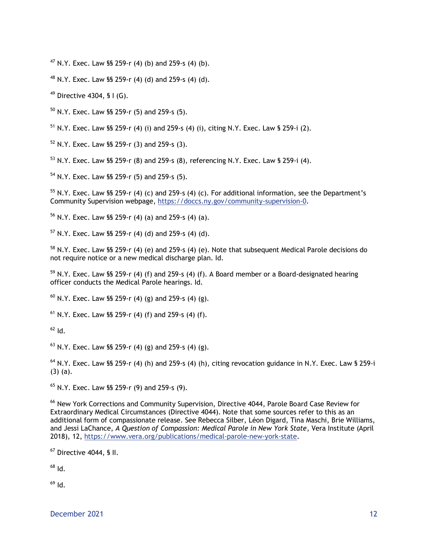N.Y. Exec. Law §§ 259-r (4) (b) and 259-s (4) (b).

N.Y. Exec. Law §§ 259-r (4) (d) and 259-s (4) (d).

Directive 4304, § I (G).

N.Y. Exec. Law SS 259-r (5) and 259-s (5).

N.Y. Exec. Law §§ 259-r (4) (i) and 259-s (4) (i), citing N.Y. Exec. Law § 259-i (2).

N.Y. Exec. Law §§ 259-r (3) and 259-s (3).

N.Y. Exec. Law §§ 259-r (8) and 259-s (8), referencing N.Y. Exec. Law § 259-i (4).

N.Y. Exec. Law §§ 259-r (5) and 259-s (5).

 N.Y. Exec. Law §§ 259-r (4) (c) and 259-s (4) (c). For additional information, see the Department's Community Supervision webpage, https://doccs.ny.gov/community-supervision-0.

N.Y. Exec. Law §§ 259-r (4) (a) and 259-s (4) (a).

N.Y. Exec. Law §§ 259-r (4) (d) and 259-s (4) (d).

 N.Y. Exec. Law §§ 259-r (4) (e) and 259-s (4) (e). Note that subsequent Medical Parole decisions do not require notice or a new medical discharge plan. Id.

 N.Y. Exec. Law §§ 259-r (4) (f) and 259-s (4) (f). A Board member or a Board-designated hearing officer conducts the Medical Parole hearings. Id.

 $^{60}$  N.Y. Exec. Law §§ 259-r (4) (g) and 259-s (4) (g).

 $<sup>61</sup>$  N.Y. Exec. Law §§ 259-r (4) (f) and 259-s (4) (f).</sup>

Id.

N.Y. Exec. Law §§ 259-r (4) (g) and 259-s (4) (g).

 N.Y. Exec. Law §§ 259-r (4) (h) and 259-s (4) (h), citing revocation guidance in N.Y. Exec. Law § 259-i (3) (a).

N.Y. Exec. Law §§ 259-r (9) and 259-s (9).

<sup>66</sup> New York Corrections and Community Supervision, Directive 4044, Parole Board Case Review for Extraordinary Medical Circumstances (Directive 4044). Note that some sources refer to this as an additional form of compassionate release. See Rebecca Silber, Léon Digard, Tina Maschi, Brie Williams, and Jessi LaChance, *A Question of Compassion: Medical Parole in New York State*, Vera Institute (April 2018), 12, [https://www.vera.org/publications/medical-parole-new-york-state.](https://www.vera.org/publications/medical-parole-new-york-state)

Directive 4044, § II.

Id.

Id.